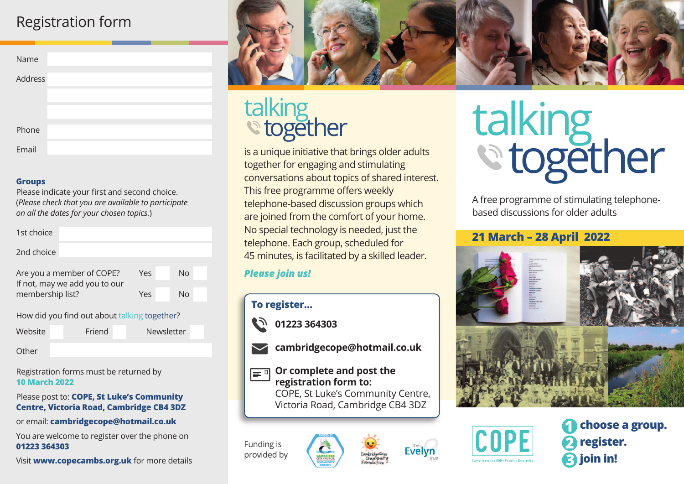## Registration form

#### **Groups**

Please indicate your first and second choice. (*Please check that you are available to participate on all the dates for your chosen topics.*)

| 1st choice                                                 |     |    |  |  |  |  |
|------------------------------------------------------------|-----|----|--|--|--|--|
| 2nd choice                                                 |     |    |  |  |  |  |
| Are you a member of COPE?<br>If not, may we add you to our | Yes | No |  |  |  |  |
| membership list?                                           | Yes | No |  |  |  |  |
| How did you find out about talking together?               |     |    |  |  |  |  |

| How did you find out about talking together? |
|----------------------------------------------|
|----------------------------------------------|

| Website | Friend | Newsletter |
|---------|--------|------------|
|         |        |            |

**Other** 

Registration forms must be returned by **10 March 2022**

#### Please post to: **COPE, St Luke's Community Centre, Victoria Road, Cambridge CB4 3DZ**

or email: **cambridgecope@hotmail.co.uk**

You are welcome to register over the phone on **01223 364303**

Visit **www.copecambs.org.uk** for more details



# talking<br>
together

is a unique initiative that brings older adults together for engaging and stimulating conversations about topics of shared interest. This free programme offers weekly telephone-based discussion groups which are joined from the comfort of your home. No special technology is needed, just the telephone. Each group, scheduled for 45 minutes, is facilitated by a skilled leader.

## *Please join us!*





## **Or complete and post the registration form to:**

 COPE, St Luke's Community Centre, Victoria Road, Cambridge CB4 3DZ

Funding is provided by





A free programme of stimulating telephonebased discussions for older adults

## **21 March – 28 April 2022**





**register. 1 choose a group. 2 3 join in!**